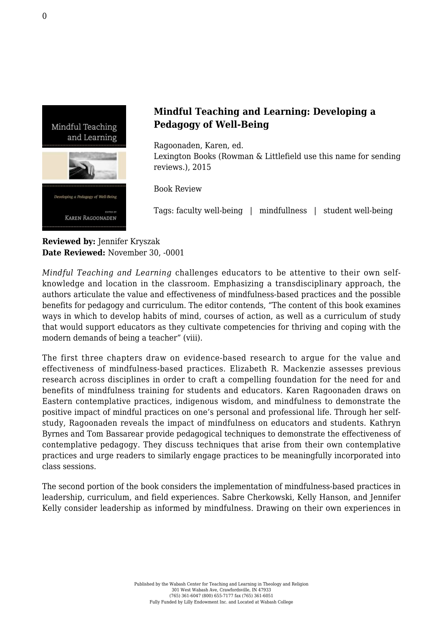

## **Mindful Teaching and Learning: Developing a Pedagogy of Well-Being**

Ragoonaden, Karen, ed.

[Lexington Books \(Rowman & Littlefield use this name for sending](https://rowman.com/ISBN/9781498506670/Mindful-Teaching-and-Learning-Developing-a-Pedagogy-of-Well-Being#) [reviews.\), 2015](https://rowman.com/ISBN/9781498506670/Mindful-Teaching-and-Learning-Developing-a-Pedagogy-of-Well-Being#)

Book Review

Tags: faculty well-being | mindfullness | student well-being

**Reviewed by:** Jennifer Kryszak **Date Reviewed:** November 30, -0001

*Mindful Teaching and Learning* challenges educators to be attentive to their own selfknowledge and location in the classroom. Emphasizing a transdisciplinary approach, the authors articulate the value and effectiveness of mindfulness-based practices and the possible benefits for pedagogy and curriculum. The editor contends, "The content of this book examines ways in which to develop habits of mind, courses of action, as well as a curriculum of study that would support educators as they cultivate competencies for thriving and coping with the modern demands of being a teacher" (viii).

The first three chapters draw on evidence-based research to argue for the value and effectiveness of mindfulness-based practices. Elizabeth R. Mackenzie assesses previous research across disciplines in order to craft a compelling foundation for the need for and benefits of mindfulness training for students and educators. Karen Ragoonaden draws on Eastern contemplative practices, indigenous wisdom, and mindfulness to demonstrate the positive impact of mindful practices on one's personal and professional life. Through her selfstudy, Ragoonaden reveals the impact of mindfulness on educators and students. Kathryn Byrnes and Tom Bassarear provide pedagogical techniques to demonstrate the effectiveness of contemplative pedagogy. They discuss techniques that arise from their own contemplative practices and urge readers to similarly engage practices to be meaningfully incorporated into class sessions.

The second portion of the book considers the implementation of mindfulness-based practices in leadership, curriculum, and field experiences. Sabre Cherkowski, Kelly Hanson, and Jennifer Kelly consider leadership as informed by mindfulness. Drawing on their own experiences in